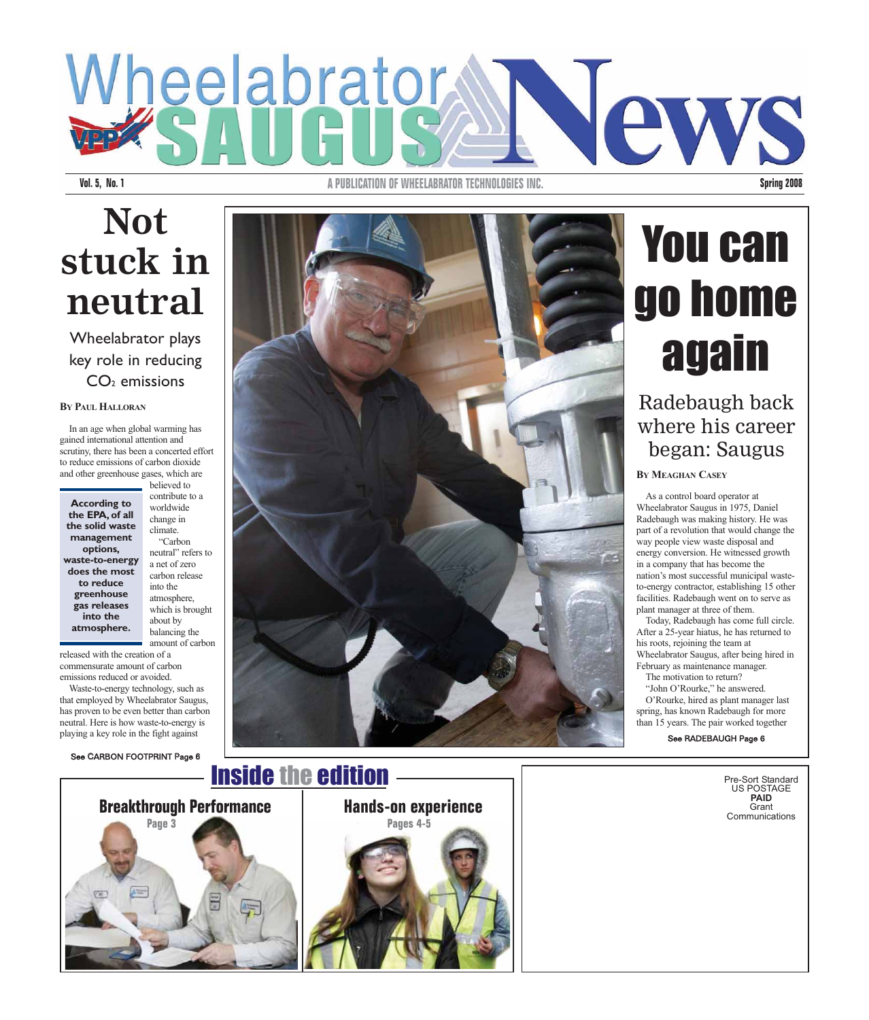## Wheelabrator **Jew**

**Vol. 5, No. 1 A PUBLICATION OF WHEELABRATOR TECHNOLOGIES INC. Spring 2008**

### **Not stuck in neutral**

Wheelabrator plays key role in reducing  $CO<sub>2</sub>$  emissions

#### BY PAUL HALLORAN

In an age when global warming has gained international attention and scrutiny, there has been a concerted effort to reduce emissions of carbon dioxide and other greenhouse gases, which are

**According to the EPA, of all the solid waste management options, waste-to-energy does the most to reduce greenhouse gas releases into the atmosphere.**

believed to contribute to a worldwide change in climate. "Carbon neutral" refers to a net of zero carbon release into the atmosphere, which is brought about by balancing the amount of carbon

released with the creation of a commensurate amount of carbon emissions reduced or avoided.

Waste-to-energy technology, such as that employed by Wheelabrator Saugus, has proven to be even better than carbon neutral. Here is how waste-to-energy is playing a key role in the fight against

See CARBON FOOTPRINT Page 6



#### Inside the edition



## **Hands-on experience Pages 4-5**

## You can go home again

Radebaugh back where his career began: Saugus

#### **BY MEAGHAN CASEY**

As a control board operator at Wheelabrator Saugus in 1975, Daniel Radebaugh was making history. He was part of a revolution that would change the way people view waste disposal and energy conversion. He witnessed growth in a company that has become the nation's most successful municipal wasteto-energy contractor, establishing 15 other facilities. Radebaugh went on to serve as plant manager at three of them.

Today, Radebaugh has come full circle. After a 25-year hiatus, he has returned to his roots, rejoining the team at Wheelabrator Saugus, after being hired in February as maintenance manager.

The motivation to return? "John O'Rourke," he answered. O'Rourke, hired as plant manager last spring, has known Radebaugh for more than 15 years. The pair worked together

See RADEBAUGH Page 6

Pre-Sort Standard US POSTAGE **PAID** Grant **Communications**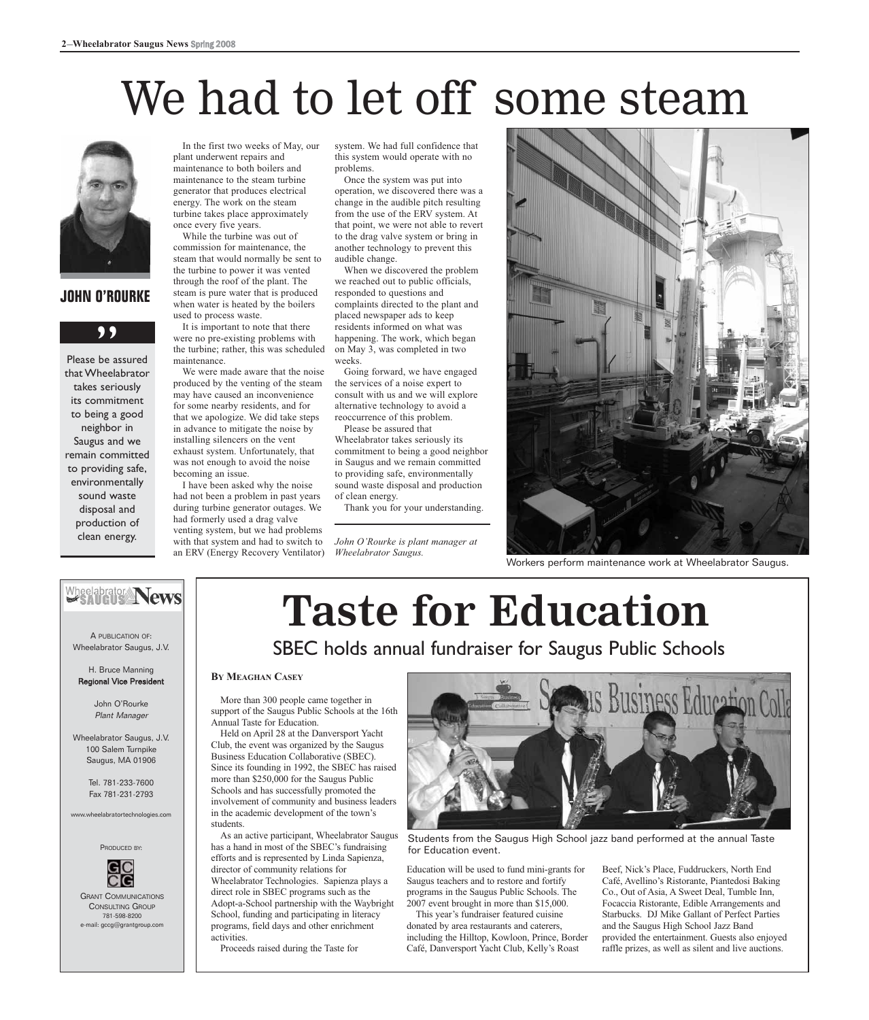## We had to let off some steam



#### **JOHN O'ROURKE**

#### ,,

Please be assured that Wheelabrator takes seriously its commitment to being a good neighbor in Saugus and we remain committed to providing safe, environmentally sound waste disposal and production of clean energy.

In the first two weeks of May, our plant underwent repairs and maintenance to both boilers and maintenance to the steam turbine generator that produces electrical energy. The work on the steam turbine takes place approximately once every five years.

While the turbine was out of commission for maintenance, the steam that would normally be sent to the turbine to power it was vented through the roof of the plant. The steam is pure water that is produced when water is heated by the boilers used to process waste.

It is important to note that there were no pre-existing problems with the turbine; rather, this was scheduled maintenance.

We were made aware that the noise produced by the venting of the steam may have caused an inconvenience for some nearby residents, and for that we apologize. We did take steps in advance to mitigate the noise by installing silencers on the vent exhaust system. Unfortunately, that was not enough to avoid the noise becoming an issue.

I have been asked why the noise had not been a problem in past years during turbine generator outages. We had formerly used a drag valve venting system, but we had problems with that system and had to switch to an ERV (Energy Recovery Ventilator) system. We had full confidence that this system would operate with no problems.

Once the system was put into operation, we discovered there was a change in the audible pitch resulting from the use of the ERV system. At that point, we were not able to revert to the drag valve system or bring in another technology to prevent this audible change.

When we discovered the problem we reached out to public officials, responded to questions and complaints directed to the plant and placed newspaper ads to keep residents informed on what was happening. The work, which began on May 3, was completed in two weeks.

Going forward, we have engaged the services of a noise expert to consult with us and we will explore alternative technology to avoid a reoccurrence of this problem.

Please be assured that Wheelabrator takes seriously its commitment to being a good neighbor in Saugus and we remain committed to providing safe, environmentally sound waste disposal and production of clean energy.

Thank you for your understanding.

*John O'Rourke is plant manager at Wheelabrator Saugus.*



Workers perform maintenance work at Wheelabrator Saugus.

#### Wheelabrator News

A PUBLICATION OF: Wheelabrator Saugus, J.V.

H. Bruce Manning Regional Vice President

> John O'Rourke Plant Manager

Wheelabrator Saugus, J.V. 100 Salem Turnpike Saugus, MA 01906

> Tel. 781-233-7600 Fax 781-231-2793

> > abratortechnolog



GRANT COMMUNICATIONS CONSULTING GROUP 781-598-8200 mail: gccg@grantgroup.cor

## **Taste for Education**

SBEC holds annual fundraiser for Saugus Public Schools

#### **BY MEAGHAN CASEY**

More than 300 people came together in support of the Saugus Public Schools at the 16th Annual Taste for Education.

Held on April 28 at the Danversport Yacht Club, the event was organized by the Saugus Business Education Collaborative (SBEC). Since its founding in 1992, the SBEC has raised more than \$250,000 for the Saugus Public Schools and has successfully promoted the involvement of community and business leaders in the academic development of the town's students.

As an active participant, Wheelabrator Saugus has a hand in most of the SBEC's fundraising efforts and is represented by Linda Sapienza, director of community relations for Wheelabrator Technologies. Sapienza plays a direct role in SBEC programs such as the Adopt-a-School partnership with the Waybright School, funding and participating in literacy programs, field days and other enrichment activities.

Proceeds raised during the Taste for



Students from the Saugus High School jazz band performed at the annual Taste for Education event.

Education will be used to fund mini-grants for Saugus teachers and to restore and fortify programs in the Saugus Public Schools. The 2007 event brought in more than \$15,000.

This year's fundraiser featured cuisine donated by area restaurants and caterers, including the Hilltop, Kowloon, Prince, Border Café, Danversport Yacht Club, Kelly's Roast

Beef, Nick's Place, Fuddruckers, North End Café, Avellino's Ristorante, Piantedosi Baking Co., Out of Asia, A Sweet Deal, Tumble Inn, Focaccia Ristorante, Edible Arrangements and Starbucks. DJ Mike Gallant of Perfect Parties and the Saugus High School Jazz Band provided the entertainment. Guests also enjoyed raffle prizes, as well as silent and live auctions.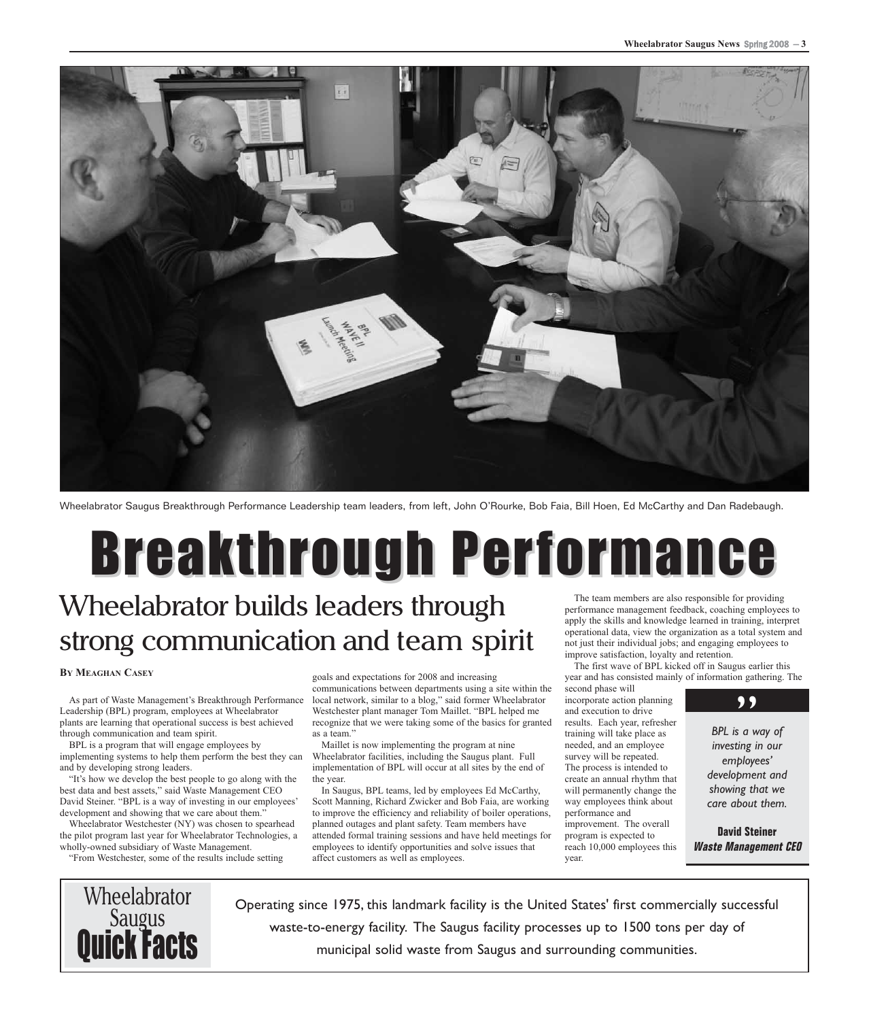

Wheelabrator Saugus Breakthrough Performance Leadership team leaders, from left, John O'Rourke, Bob Faia, Bill Hoen, Ed McCarthy and Dan Radebaugh.

#### **Breakthrough Performance** The team members are also responsible for providing Wheelabrator builds leaders through

## strong communication and team spirit

#### **BY MEAGHAN CASEY**

As part of Waste Management's Breakthrough Performance Leadership (BPL) program, employees at Wheelabrator plants are learning that operational success is best achieved through communication and team spirit.

BPL is a program that will engage employees by implementing systems to help them perform the best they can and by developing strong leaders.

"It's how we develop the best people to go along with the best data and best assets," said Waste Management CEO David Steiner. "BPL is a way of investing in our employees' development and showing that we care about them."

Wheelabrator Westchester (NY) was chosen to spearhead the pilot program last year for Wheelabrator Technologies, a wholly-owned subsidiary of Waste Management.

"From Westchester, some of the results include setting

goals and expectations for 2008 and increasing communications between departments using a site within the local network, similar to a blog," said former Wheelabrator

Westchester plant manager Tom Maillet. "BPL helped me recognize that we were taking some of the basics for granted as a team."

Maillet is now implementing the program at nine Wheelabrator facilities, including the Saugus plant. Full implementation of BPL will occur at all sites by the end of the year.

In Saugus, BPL teams, led by employees Ed McCarthy, Scott Manning, Richard Zwicker and Bob Faia, are working to improve the efficiency and reliability of boiler operations, planned outages and plant safety. Team members have attended formal training sessions and have held meetings for employees to identify opportunities and solve issues that affect customers as well as employees.

performance management feedback, coaching employees to apply the skills and knowledge learned in training, interpret operational data, view the organization as a total system and not just their individual jobs; and engaging employees to improve satisfaction, loyalty and retention.

The first wave of BPL kicked off in Saugus earlier this year and has consisted mainly of information gathering. The

second phase will incorporate action planning and execution to drive results. Each year, refresher training will take place as needed, and an employee survey will be repeated. The process is intended to create an annual rhythm that will permanently change the way employees think about performance and improvement. The overall program is expected to reach 10,000 employees this year.



**BPL** is a way of *investing in our employees' development and showing that we care about them.*

**David Steiner Waste Management CEO**



Operating since 1975, this landmark facility is the United States' first commercially successful waste-to-energy facility. The Saugus facility processes up to 1500 tons per day of municipal solid waste from Saugus and surrounding communities.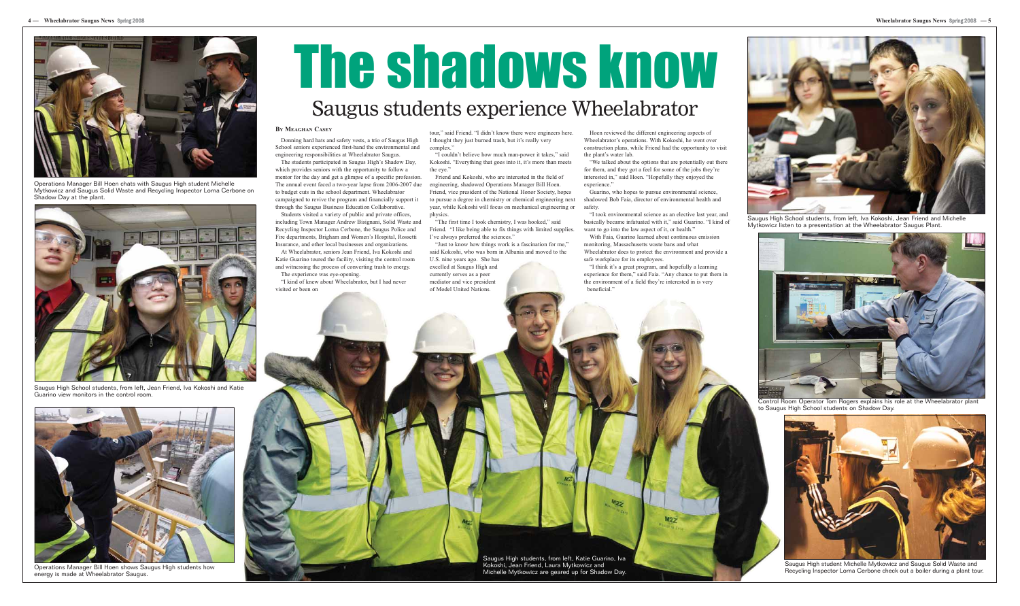

Operations Manager Bill Hoen chats with Saugus High student Michelle Mytkowicz and Saugus Solid Waste and Recycling Inspector Lorna Cerbone on Shadow Day at the plant.

#### **BY MEAGHAN CASEY**

Donning hard hats and safety vests, a trio of Saugus High School seniors experienced first-hand the environmental and engineering responsibilities at Wheelabrator Saugus.

The students participated in Saugus High's Shadow Day, which provides seniors with the opportunity to follow a mentor for the day and get a glimpse of a specific profession. The annual event faced a two-year lapse from 2006-2007 due to budget cuts in the school department. Wheelabrator campaigned to revive the program and financially support it through the Saugus Business Education Collaborative.

Students visited a variety of public and private offices, including Town Manager Andrew Bisignani, Solid Waste and Recycling Inspector Lorna Cerbone, the Saugus Police and Fire departments, Brigham and Women's Hospital, Rossetti Insurance, and other local businesses and organizations.

At Wheelabrator, seniors Jean Friend, Iva Kokoshi and Katie Guarino toured the facility, visiting the control room and witnessing the process of converting trash to energy. The experience was eye-opening.

"We talked about the options that are potentially out there for them, and they got a feel for some of the jobs they're interested in," said Hoen. "Hopefully they enjoyed the experience."

"I kind of knew about Wheelabrator, but I had never visited or been on

"I took environmental science as an elective last year, and basically became infatuated with it," said Guarino. "I kind of want to go into the law aspect of it, or health."

tour," said Friend. "I didn't know there were engineers here. I thought they just burned trash, but it's really very complex."

"I couldn't believe how much man-power it takes," said Kokoshi. "Everything that goes into it, it's more than meets the eye."

Friend and Kokoshi, who are interested in the field of engineering, shadowed Operations Manager Bill Hoen. Friend, vice president of the National Honor Society, hopes to pursue a degree in chemistry or chemical engineering next year, while Kokoshi will focus on mechanical engineering or physics.

"The first time I took chemistry, I was hooked," said Friend. "I like being able to fix things with limited supplies. I've always preferred the sciences."

"Just to know how things work is a fascination for me," said Kokoshi, who was born in Albania and moved to the U.S. nine years ago. She has

excelled at Saugus High and currently serves as a peer mediator and vice president of Model United Nations.

Hoen reviewed the different engineering aspects of Wheelabrator's operations. With Kokoshi, he went over construction plans, while Friend had the opportunity to visit the plant's water lab.

Guarino, who hopes to pursue environmental science, shadowed Bob Faia, director of environmental health and safety.

With Faia, Guarino learned about continuous emission monitoring, Massachusetts waste bans and what Wheelabrator does to protect the environment and provide a safe workplace for its employees.

"I think it's a great program, and hopefully a learning experience for them," said Faia. "Any chance to put them in the environment of a field they're interested in is very beneficial."



Saugus High student Michelle Mytkowicz and Saugus Solid Waste and Recycling Inspector Lorna Cerbone check out a boiler during a plant tour.

## The shadows know Saugus students experience Wheelabrator



Control Room Operator Tom Rogers explains his role at the Wheelabrator plant to Saugus High School students on Shadow Day.



Saugus High School students, from left, Iva Kokoshi, Jean Friend and Michelle Mytkowicz listen to a presentation at the Wheelabrator Saugus Plant.



Saugus High School students, from left, Jean Friend, Iva Kokoshi and Katie Guarino view monitors in the control room.



Operations Manager Bill Hoen shows Saugus High students how energy is made at Wheelabrator Saugus.

Saugus High students, from left, Katie Guarino, Iva Kokoshi, Jean Friend, Laura Mytkowicz and Michelle Mytkowicz are geared up for Shadow Day.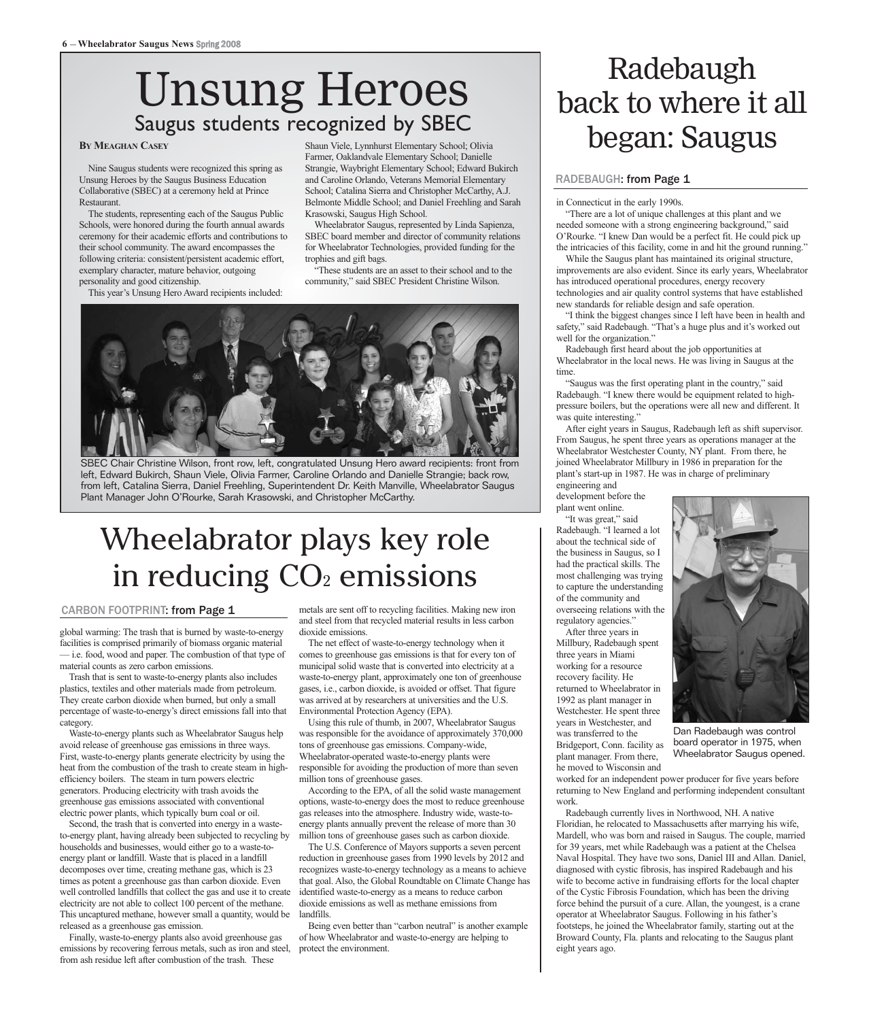#### Unsung Heroes Saugus students recognized by SBEC

Nine Saugus students were recognized this spring as Unsung Heroes by the Saugus Business Education Collaborative (SBEC) at a ceremony held at Prince Restaurant.

The students, representing each of the Saugus Public Schools, were honored during the fourth annual awards ceremony for their academic efforts and contributions to their school community. The award encompasses the following criteria: consistent/persistent academic effort, exemplary character, mature behavior, outgoing personality and good citizenship.

This year's Unsung Hero Award recipients included:

Shaun Viele, Lynnhurst Elementary School; Olivia Farmer, Oaklandvale Elementary School; Danielle Strangie, Waybright Elementary School; Edward Bukirch and Caroline Orlando, Veterans Memorial Elementary School; Catalina Sierra and Christopher McCarthy, A.J. Belmonte Middle School; and Daniel Freehling and Sarah Krasowski, Saugus High School.

Wheelabrator Saugus, represented by Linda Sapienza, SBEC board member and director of community relations for Wheelabrator Technologies, provided funding for the trophies and gift bags.

"These students are an asset to their school and to the community," said SBEC President Christine Wilson.



SBEC Chair Christine Wilson, front row, left, congratulated Unsung Hero award recipients: front from left, Edward Bukirch, Shaun Viele, Olivia Farmer, Caroline Orlando and Danielle Strangie; back row, from left, Catalina Sierra, Daniel Freehling, Superintendent Dr. Keith Manville, Wheelabrator Saugus Plant Manager John O'Rourke, Sarah Krasowski, and Christopher McCarthy.

#### Wheelabrator plays key role in reducing  $CO<sub>2</sub>$  emissions

#### CARBON FOOTPRINT: from Page 1

global warming: The trash that is burned by waste-to-energy facilities is comprised primarily of biomass organic material — i.e. food, wood and paper. The combustion of that type of material counts as zero carbon emissions.

Trash that is sent to waste-to-energy plants also includes plastics, textiles and other materials made from petroleum. They create carbon dioxide when burned, but only a small percentage of waste-to-energy's direct emissions fall into that category.

Waste-to-energy plants such as Wheelabrator Saugus help avoid release of greenhouse gas emissions in three ways. First, waste-to-energy plants generate electricity by using the heat from the combustion of the trash to create steam in highefficiency boilers. The steam in turn powers electric generators. Producing electricity with trash avoids the greenhouse gas emissions associated with conventional electric power plants, which typically burn coal or oil.

Second, the trash that is converted into energy in a wasteto-energy plant, having already been subjected to recycling by households and businesses, would either go to a waste-toenergy plant or landfill. Waste that is placed in a landfill decomposes over time, creating methane gas, which is 23 times as potent a greenhouse gas than carbon dioxide. Even well controlled landfills that collect the gas and use it to create electricity are not able to collect 100 percent of the methane. This uncaptured methane, however small a quantity, would be released as a greenhouse gas emission.

Finally, waste-to-energy plants also avoid greenhouse gas emissions by recovering ferrous metals, such as iron and steel, protect the environment. from ash residue left after combustion of the trash. These

metals are sent off to recycling facilities. Making new iron and steel from that recycled material results in less carbon dioxide emissions.

The net effect of waste-to-energy technology when it comes to greenhouse gas emissions is that for every ton of municipal solid waste that is converted into electricity at a waste-to-energy plant, approximately one ton of greenhouse gases, i.e., carbon dioxide, is avoided or offset. That figure was arrived at by researchers at universities and the U.S. Environmental Protection Agency (EPA).

Using this rule of thumb, in 2007, Wheelabrator Saugus was responsible for the avoidance of approximately 370,000 tons of greenhouse gas emissions. Company-wide, Wheelabrator-operated waste-to-energy plants were responsible for avoiding the production of more than seven million tons of greenhouse gases.

According to the EPA, of all the solid waste management options, waste-to-energy does the most to reduce greenhouse gas releases into the atmosphere. Industry wide, waste-toenergy plants annually prevent the release of more than 30 million tons of greenhouse gases such as carbon dioxide.

The U.S. Conference of Mayors supports a seven percent reduction in greenhouse gases from 1990 levels by 2012 and recognizes waste-to-energy technology as a means to achieve that goal. Also, the Global Roundtable on Climate Change has identified waste-to-energy as a means to reduce carbon dioxide emissions as well as methane emissions from landfills.

Being even better than "carbon neutral" is another example of how Wheelabrator and waste-to-energy are helping to

#### Radebaugh back to where it all BY MEAGHAN CASEY **BOUGHAN CASEY** STRUCTILS I CLOGINIZED DY JOLL **began:** Saugus Structrics I Cloginized Dy Soleol; Olivia

#### <u>RADEBAUGH: from Page 1</u>

in Connecticut in the early 1990s.

"There are a lot of unique challenges at this plant and we needed someone with a strong engineering background," said O'Rourke. "I knew Dan would be a perfect fit. He could pick up the intricacies of this facility, come in and hit the ground running."

While the Saugus plant has maintained its original structure, improvements are also evident. Since its early years, Wheelabrator has introduced operational procedures, energy recovery technologies and air quality control systems that have established new standards for reliable design and safe operation.

"I think the biggest changes since I left have been in health and safety," said Radebaugh. "That's a huge plus and it's worked out well for the organization."

Radebaugh first heard about the job opportunities at Wheelabrator in the local news. He was living in Saugus at the time.

"Saugus was the first operating plant in the country," said Radebaugh. "I knew there would be equipment related to highpressure boilers, but the operations were all new and different. It was quite interesting."

After eight years in Saugus, Radebaugh left as shift supervisor. From Saugus, he spent three years as operations manager at the Wheelabrator Westchester County, NY plant. From there, he joined Wheelabrator Millbury in 1986 in preparation for the plant's start-up in 1987. He was in charge of preliminary engineering and

development before the plant went online.

"It was great," said Radebaugh. "I learned a lot about the technical side of the business in Saugus, so I had the practical skills. The most challenging was trying to capture the understanding of the community and overseeing relations with the regulatory agencies."

After three years in Millbury, Radebaugh spent three years in Miami working for a resource recovery facility. He returned to Wheelabrator in 1992 as plant manager in Westchester. He spent three years in Westchester, and was transferred to the Bridgeport, Conn. facility as plant manager. From there, he moved to Wisconsin and



Dan Radebaugh was control board operator in 1975, when Wheelabrator Saugus opened.

worked for an independent power producer for five years before returning to New England and performing independent consultant work.

Radebaugh currently lives in Northwood, NH. A native Floridian, he relocated to Massachusetts after marrying his wife, Mardell, who was born and raised in Saugus. The couple, married for 39 years, met while Radebaugh was a patient at the Chelsea Naval Hospital. They have two sons, Daniel III and Allan. Daniel, diagnosed with cystic fibrosis, has inspired Radebaugh and his wife to become active in fundraising efforts for the local chapter of the Cystic Fibrosis Foundation, which has been the driving force behind the pursuit of a cure. Allan, the youngest, is a crane operator at Wheelabrator Saugus. Following in his father's footsteps, he joined the Wheelabrator family, starting out at the Broward County, Fla. plants and relocating to the Saugus plant eight years ago.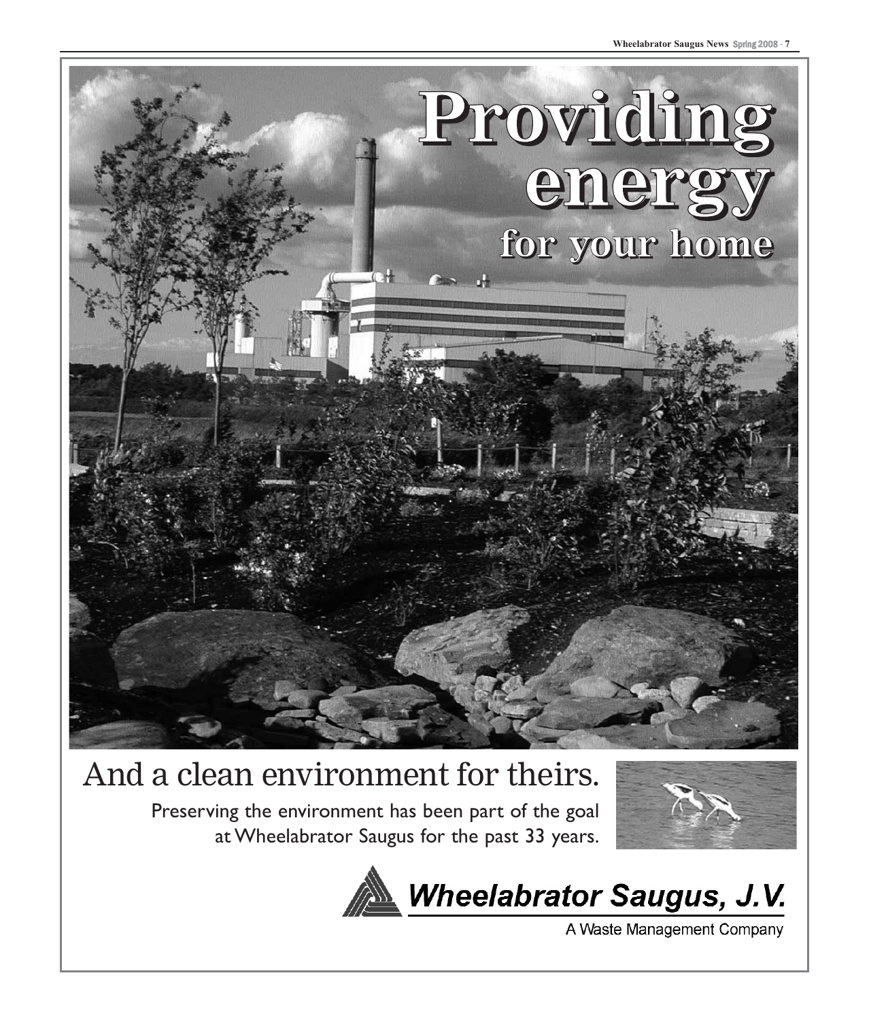

#### And a clean environment for theirs.

Preserving the environment has been part of the goal at Wheelabrator Saugus for the past 33 years.





A Waste Management Company